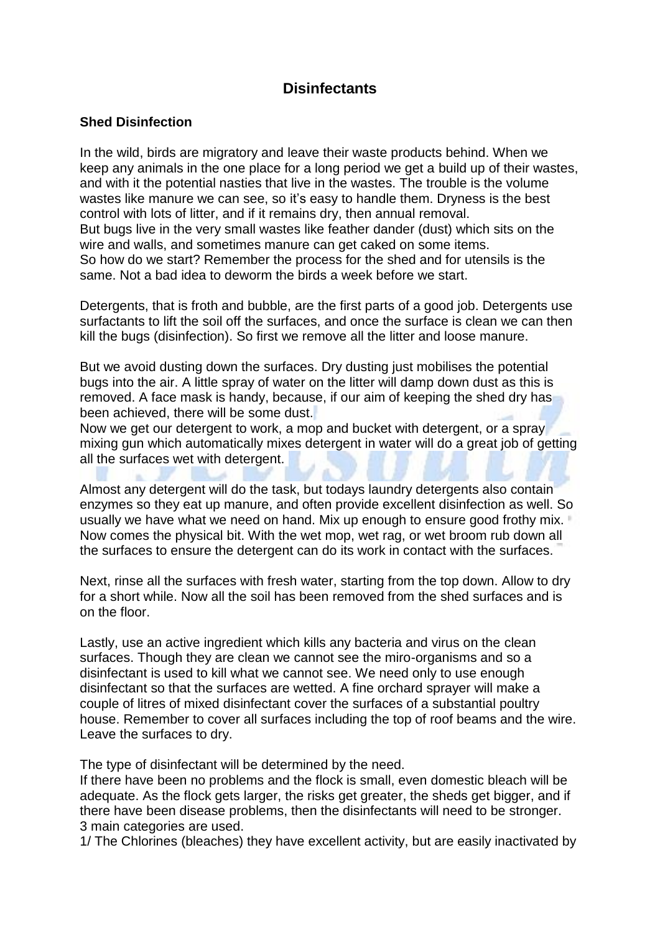## **Disinfectants**

## **Shed Disinfection**

In the wild, birds are migratory and leave their waste products behind. When we keep any animals in the one place for a long period we get a build up of their wastes, and with it the potential nasties that live in the wastes. The trouble is the volume wastes like manure we can see, so it's easy to handle them. Dryness is the best control with lots of litter, and if it remains dry, then annual removal. But bugs live in the very small wastes like feather dander (dust) which sits on the wire and walls, and sometimes manure can get caked on some items. So how do we start? Remember the process for the shed and for utensils is the same. Not a bad idea to deworm the birds a week before we start.

Detergents, that is froth and bubble, are the first parts of a good job. Detergents use surfactants to lift the soil off the surfaces, and once the surface is clean we can then kill the bugs (disinfection). So first we remove all the litter and loose manure.

But we avoid dusting down the surfaces. Dry dusting just mobilises the potential bugs into the air. A little spray of water on the litter will damp down dust as this is removed. A face mask is handy, because, if our aim of keeping the shed dry has been achieved, there will be some dust.

Now we get our detergent to work, a mop and bucket with detergent, or a spray mixing gun which automatically mixes detergent in water will do a great job of getting all the surfaces wet with detergent.

Almost any detergent will do the task, but todays laundry detergents also contain enzymes so they eat up manure, and often provide excellent disinfection as well. So usually we have what we need on hand. Mix up enough to ensure good frothy mix. Now comes the physical bit. With the wet mop, wet rag, or wet broom rub down all the surfaces to ensure the detergent can do its work in contact with the surfaces.

Next, rinse all the surfaces with fresh water, starting from the top down. Allow to dry for a short while. Now all the soil has been removed from the shed surfaces and is on the floor.

Lastly, use an active ingredient which kills any bacteria and virus on the clean surfaces. Though they are clean we cannot see the miro-organisms and so a disinfectant is used to kill what we cannot see. We need only to use enough disinfectant so that the surfaces are wetted. A fine orchard sprayer will make a couple of litres of mixed disinfectant cover the surfaces of a substantial poultry house. Remember to cover all surfaces including the top of roof beams and the wire. Leave the surfaces to dry.

The type of disinfectant will be determined by the need.

If there have been no problems and the flock is small, even domestic bleach will be adequate. As the flock gets larger, the risks get greater, the sheds get bigger, and if there have been disease problems, then the disinfectants will need to be stronger. 3 main categories are used.

1/ The Chlorines (bleaches) they have excellent activity, but are easily inactivated by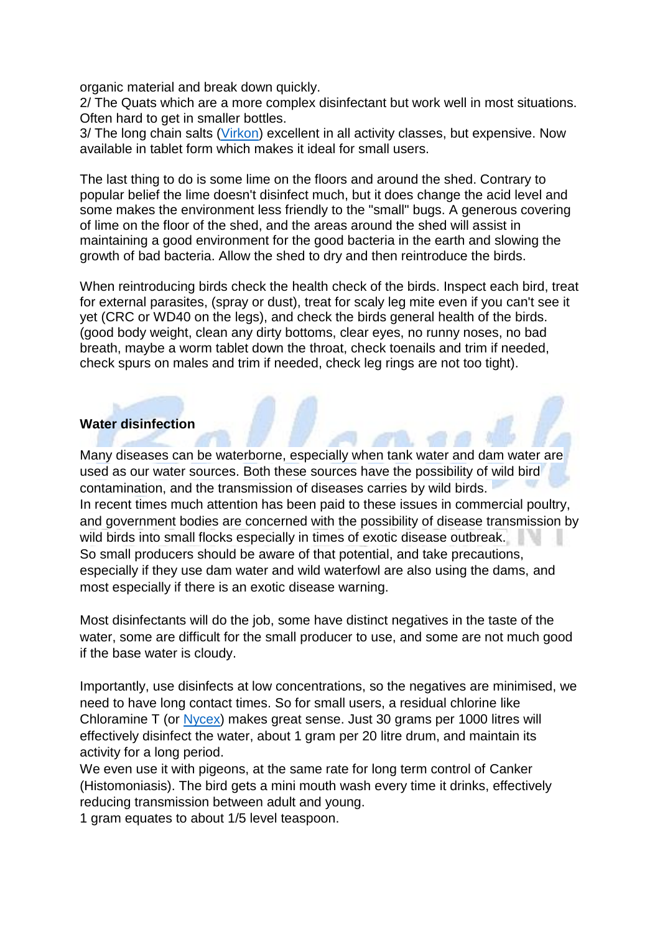organic material and break down quickly.

2/ The Quats which are a more complex disinfectant but work well in most situations. Often hard to get in smaller bottles.

3/ The long chain salts [\(Virkon\)](http://eshop.bellsouth.com.au/epages/bellsouth.sf/en_AU/?ObjectPath=/Shops/bellsouth/Categories/H/DIS) excellent in all activity classes, but expensive. Now available in tablet form which makes it ideal for small users.

The last thing to do is some lime on the floors and around the shed. Contrary to popular belief the lime doesn't disinfect much, but it does change the acid level and some makes the environment less friendly to the "small" bugs. A generous covering of lime on the floor of the shed, and the areas around the shed will assist in maintaining a good environment for the good bacteria in the earth and slowing the growth of bad bacteria. Allow the shed to dry and then reintroduce the birds.

When reintroducing birds check the health check of the birds. Inspect each bird, treat for external parasites, (spray or dust), treat for scaly leg mite even if you can't see it yet (CRC or WD40 on the legs), and check the birds general health of the birds. (good body weight, clean any dirty bottoms, clear eyes, no runny noses, no bad breath, maybe a worm tablet down the throat, check toenails and trim if needed, check spurs on males and trim if needed, check leg rings are not too tight).

## **Water disinfection**

Many diseases can be waterborne, especially when tank water and dam water are used as our water sources. Both these sources have the possibility of wild bird contamination, and the transmission of diseases carries by wild birds. In recent times much attention has been paid to these issues in commercial poultry, and government bodies are concerned with the possibility of disease transmission by wild birds into small flocks especially in times of exotic disease outbreak. So small producers should be aware of that potential, and take precautions, especially if they use dam water and wild waterfowl are also using the dams, and most especially if there is an exotic disease warning.

Most disinfectants will do the job, some have distinct negatives in the taste of the water, some are difficult for the small producer to use, and some are not much good if the base water is cloudy.

Importantly, use disinfects at low concentrations, so the negatives are minimised, we need to have long contact times. So for small users, a residual chlorine like Chloramine T (or [Nycex\)](http://eshop.bellsouth.com.au/epages/bellsouth.sf/en_AU/?ObjectPath=/Shops/bellsouth/Products/NYCEX50) makes great sense. Just 30 grams per 1000 litres will effectively disinfect the water, about 1 gram per 20 litre drum, and maintain its activity for a long period.

We even use it with pigeons, at the same rate for long term control of Canker (Histomoniasis). The bird gets a mini mouth wash every time it drinks, effectively reducing transmission between adult and young.

1 gram equates to about 1/5 level teaspoon.